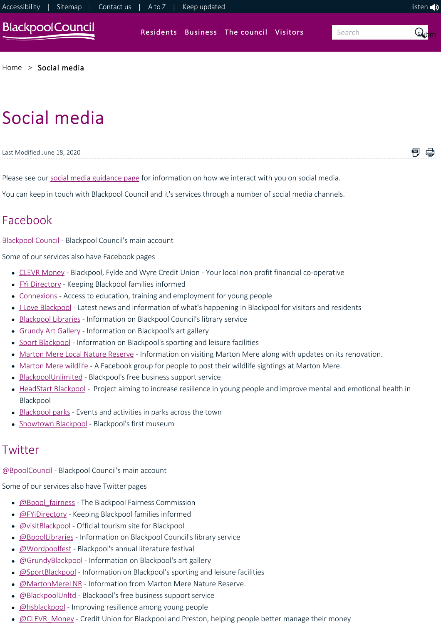

### [Home](https://www.blackpool.gov.uk/Home.aspx) > [Social media](https://www.blackpool.gov.uk/Social-media.aspx)

# Social media

| t Modified June 18, 2020<br>' ast |  |
|-----------------------------------|--|
|                                   |  |

Please see our [social media guidance page](https://www.blackpool.gov.uk/Social-media-policy.aspx) for information on how we interact with you on social media.

You can keep in touch with Blackpool Council and it's services through a number of social media channels.

## Facebook

[Blackpool Council](http://www.facebook.com/bpoolcouncil) ‐ Blackpool Council's main account

Some of our services also have Facebook pages

- [CLEVR Money](https://www.facebook.com/clevrmoney/) Blackpool, Fylde and Wyre Credit Union Your local non profit financial co-operative
- [FYi Directory](https://www.facebook.com/DirectoryFYi/) ‐ Keeping Blackpool families informed
- [Connexions](https://www.facebook.com/connexionsblackpool) Access to education, training and employment for young people
- Love Blackpool Latest news and information of what's happening in Blackpool for visitors and residents
- [Blackpool Libraries](https://www.facebook.com/BlackpoolLibraries)  Information on Blackpool Council's library service
- [Grundy Art Gallery](https://www.facebook.com/grundyartgallery)  Information on Blackpool's art gallery
- [Sport Blackpool](http://www.facebook.com/sportblackpool) Information on Blackpool's sporting and leisure facilities
- [Marton Mere Local Nature Reserve](https://www.facebook.com/martonmerereserve?fref=nf)  Information on visiting Marton Mere along with updates on its renovation.
- [Marton Mere wildlife](https://www.facebook.com/groups/343548299164728/?fref=ts) A Facebook group for people to post their wildlife sightings at Marton Mere.
- [BlackpoolUnlimited](https://www.facebook.com/pages/Blackpoolunlimitedcom/318081194942015)  Blackpool's free business support service
- [HeadStart Blackpool](https://www.facebook.com/HSBlackpool/)  Project aiming to increase resilience in young people and improve mental and emotional health in Blackpool
- [Blackpool parks](https://www.facebook.com/ParksServiceBlackpool)  Events and activities in parks across the town
- [Showtown Blackpool](https://www.facebook.com/Showtownblackpool/)  Blackpool's first museum

## **Twitter**

[@BpoolCouncil](https://twitter.com/bpoolcouncil) ‐ Blackpool Council's main account

Some of our services also have Twitter pages

- [@Bpool\\_fairness](https://twitter.com/bpool_fairness) The Blackpool Fairness Commission
- **[@FYiDirectory](https://twitter.com/FYiDirectory)** Keeping Blackpool families informed
- **[@visitBlackpool](https://twitter.com/visitBlackpool)** Official tourism site for Blackpool
- **[@BpoolLibraries](https://twitter.com/BpoolLibraries)** Information on Blackpool Council's library service
- [@Wordpoolfest](https://twitter.com/Wordpoolfest) Blackpool's annual literature festival
- [@GrundyBlackpool](https://twitter.com/GrundyBlackpool)  Information on Blackpool's art gallery
- **@SportBlackpool** Information on Blackpool's sporting and leisure facilities
- [@MartonMereLNR](https://twitter.com/MartonMereLNR)  Information from Marton Mere Nature Reserve.
- **@BlackpoolUnltd** Blackpool's free business support service
- **[@hsblackpool](https://twitter.com/hsblackpool)** Improving resilience among young people
- **@CLEVR\_Money** Credit Union for Blackpool and Preston, helping people better manage their money